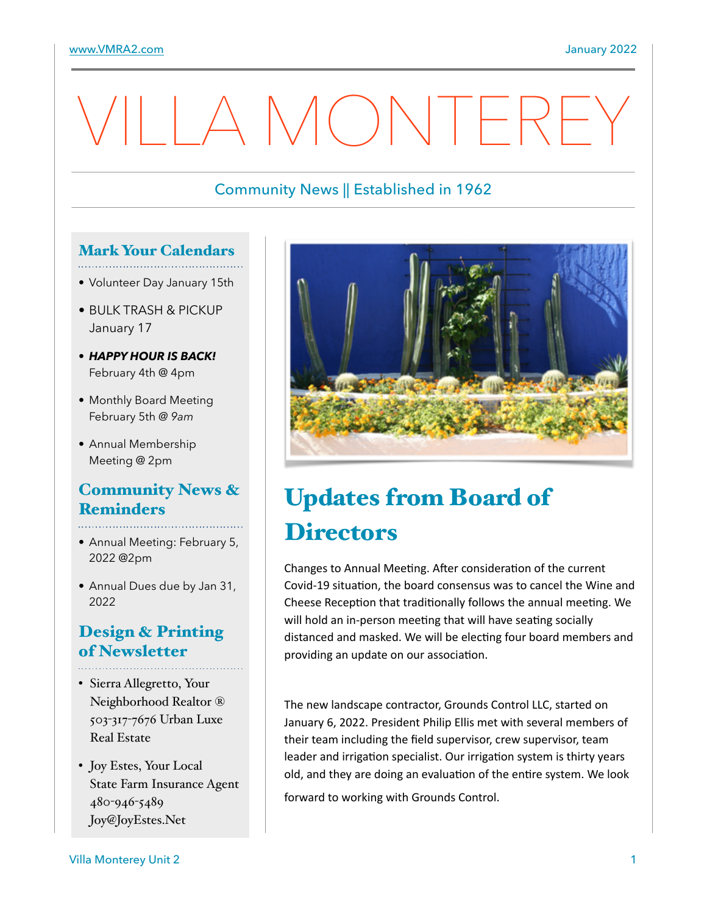# I A MONTEREY

## Community News || Established in 1962

## Mark Your Calendars

- Volunteer Day January 15th
- BULK TRASH & PICKUP January 17
- *HAPPY HOUR IS BACK!* February 4th @ 4pm
- Monthly Board Meeting February 5th *@ 9am*
- Annual Membership Meeting @ 2pm

#### Community News & Reminders

- Annual Meeting: February 5, 2022 @2pm
- Annual Dues due by Jan 31, 2022

## Design & Printing of Newsletter

- Sierra Allegretto, Your Neighborhood Realtor ® 503-317-7676 Urban Luxe Real Estate
- Joy Estes, Your Local State Farm Insurance Agent 480-946-5489 Joy@JoyEstes.Net



# Updates from Board of **Directors**

Changes to Annual Meeting. After consideration of the current Covid-19 situation, the board consensus was to cancel the Wine and Cheese Reception that traditionally follows the annual meeting. We will hold an in-person meeting that will have seating socially distanced and masked. We will be electing four board members and providing an update on our association.

The new landscape contractor, Grounds Control LLC, started on January 6, 2022. President Philip Ellis met with several members of their team including the field supervisor, crew supervisor, team leader and irrigation specialist. Our irrigation system is thirty years old, and they are doing an evaluation of the entire system. We look

forward to working with Grounds Control.